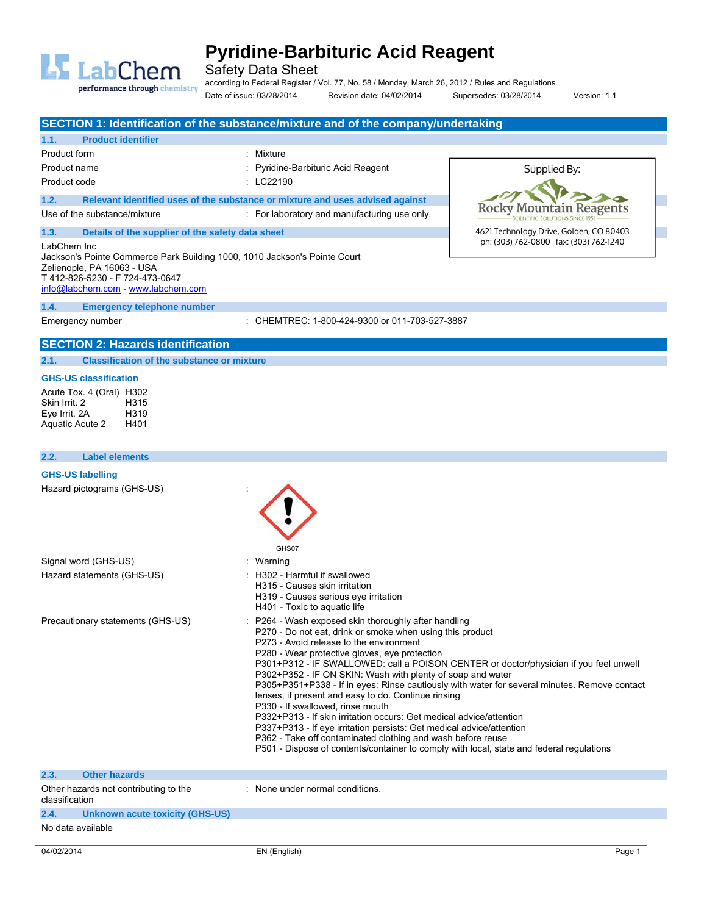

Safety Data Sheet

performance through chemistry

according to Federal Register / Vol. 77, No. 58 / Monday, March 26, 2012 / Rules and Regulations Date of issue: 03/28/2014 Revision date: 04/02/2014 Supersedes: 03/28/2014 Version: 1.1

|                                                                                                                                                                                               | SECTION 1: Identification of the substance/mixture and of the company/undertaking                                                                                                                                                                                                                                                                                                                                                                                                                                                                                                                                                                                                                                                                                         |                                                                                              |
|-----------------------------------------------------------------------------------------------------------------------------------------------------------------------------------------------|---------------------------------------------------------------------------------------------------------------------------------------------------------------------------------------------------------------------------------------------------------------------------------------------------------------------------------------------------------------------------------------------------------------------------------------------------------------------------------------------------------------------------------------------------------------------------------------------------------------------------------------------------------------------------------------------------------------------------------------------------------------------------|----------------------------------------------------------------------------------------------|
| 1.1.<br><b>Product identifier</b>                                                                                                                                                             |                                                                                                                                                                                                                                                                                                                                                                                                                                                                                                                                                                                                                                                                                                                                                                           |                                                                                              |
| Product form                                                                                                                                                                                  | : Mixture                                                                                                                                                                                                                                                                                                                                                                                                                                                                                                                                                                                                                                                                                                                                                                 |                                                                                              |
| Product name                                                                                                                                                                                  | Pyridine-Barbituric Acid Reagent                                                                                                                                                                                                                                                                                                                                                                                                                                                                                                                                                                                                                                                                                                                                          | Supplied By:                                                                                 |
| Product code                                                                                                                                                                                  | : LC22190                                                                                                                                                                                                                                                                                                                                                                                                                                                                                                                                                                                                                                                                                                                                                                 |                                                                                              |
| 1.2.                                                                                                                                                                                          | Relevant identified uses of the substance or mixture and uses advised against                                                                                                                                                                                                                                                                                                                                                                                                                                                                                                                                                                                                                                                                                             | Rocky Moi<br>eagents                                                                         |
| Use of the substance/mixture                                                                                                                                                                  | : For laboratory and manufacturing use only.                                                                                                                                                                                                                                                                                                                                                                                                                                                                                                                                                                                                                                                                                                                              |                                                                                              |
| Details of the supplier of the safety data sheet<br>1.3.                                                                                                                                      |                                                                                                                                                                                                                                                                                                                                                                                                                                                                                                                                                                                                                                                                                                                                                                           | 4621 Technology Drive, Golden, CO 80403<br>ph: (303) 762-0800 fax: (303) 762-1240            |
| LabChem Inc<br>Jackson's Pointe Commerce Park Building 1000, 1010 Jackson's Pointe Court<br>Zelienople, PA 16063 - USA<br>T412-826-5230 - F724-473-0647<br>info@labchem.com - www.labchem.com |                                                                                                                                                                                                                                                                                                                                                                                                                                                                                                                                                                                                                                                                                                                                                                           |                                                                                              |
| 1.4.<br><b>Emergency telephone number</b>                                                                                                                                                     |                                                                                                                                                                                                                                                                                                                                                                                                                                                                                                                                                                                                                                                                                                                                                                           |                                                                                              |
| Emergency number                                                                                                                                                                              | : CHEMTREC: 1-800-424-9300 or 011-703-527-3887                                                                                                                                                                                                                                                                                                                                                                                                                                                                                                                                                                                                                                                                                                                            |                                                                                              |
| <b>SECTION 2: Hazards identification</b>                                                                                                                                                      |                                                                                                                                                                                                                                                                                                                                                                                                                                                                                                                                                                                                                                                                                                                                                                           |                                                                                              |
| <b>Classification of the substance or mixture</b><br>2.1.                                                                                                                                     |                                                                                                                                                                                                                                                                                                                                                                                                                                                                                                                                                                                                                                                                                                                                                                           |                                                                                              |
| <b>GHS-US classification</b><br>Acute Tox. 4 (Oral) H302<br>Skin Irrit. 2<br>H315<br>Eye Irrit. 2A<br>H319<br>Aquatic Acute 2<br>H401                                                         |                                                                                                                                                                                                                                                                                                                                                                                                                                                                                                                                                                                                                                                                                                                                                                           |                                                                                              |
| 2.2.<br><b>Label elements</b>                                                                                                                                                                 |                                                                                                                                                                                                                                                                                                                                                                                                                                                                                                                                                                                                                                                                                                                                                                           |                                                                                              |
| <b>GHS-US labelling</b>                                                                                                                                                                       |                                                                                                                                                                                                                                                                                                                                                                                                                                                                                                                                                                                                                                                                                                                                                                           |                                                                                              |
| Hazard pictograms (GHS-US)<br>Signal word (GHS-US)                                                                                                                                            | GHS07                                                                                                                                                                                                                                                                                                                                                                                                                                                                                                                                                                                                                                                                                                                                                                     |                                                                                              |
| Hazard statements (GHS-US)                                                                                                                                                                    | Warning<br>H302 - Harmful if swallowed<br>H315 - Causes skin irritation<br>H319 - Causes serious eye irritation<br>H401 - Toxic to aquatic life                                                                                                                                                                                                                                                                                                                                                                                                                                                                                                                                                                                                                           |                                                                                              |
| Precautionary statements (GHS-US)                                                                                                                                                             | : P264 - Wash exposed skin thoroughly after handling<br>P270 - Do not eat, drink or smoke when using this product<br>P273 - Avoid release to the environment<br>P280 - Wear protective gloves, eye protection<br>P301+P312 - IF SWALLOWED: call a POISON CENTER or doctor/physician if you feel unwell<br>P302+P352 - IF ON SKIN: Wash with plenty of soap and water<br>lenses, if present and easy to do. Continue rinsing<br>P330 - If swallowed, rinse mouth<br>P332+P313 - If skin irritation occurs: Get medical advice/attention<br>P337+P313 - If eye irritation persists: Get medical advice/attention<br>P362 - Take off contaminated clothing and wash before reuse<br>P501 - Dispose of contents/container to comply with local, state and federal regulations | P305+P351+P338 - If in eyes: Rinse cautiously with water for several minutes. Remove contact |
| <b>Other hazards</b><br>2.3.                                                                                                                                                                  |                                                                                                                                                                                                                                                                                                                                                                                                                                                                                                                                                                                                                                                                                                                                                                           |                                                                                              |
| Other hazards not contributing to the<br>classification                                                                                                                                       | : None under normal conditions.                                                                                                                                                                                                                                                                                                                                                                                                                                                                                                                                                                                                                                                                                                                                           |                                                                                              |
| 2.4.<br>Unknown acute toxicity (GHS-US)                                                                                                                                                       |                                                                                                                                                                                                                                                                                                                                                                                                                                                                                                                                                                                                                                                                                                                                                                           |                                                                                              |
| No data available                                                                                                                                                                             |                                                                                                                                                                                                                                                                                                                                                                                                                                                                                                                                                                                                                                                                                                                                                                           |                                                                                              |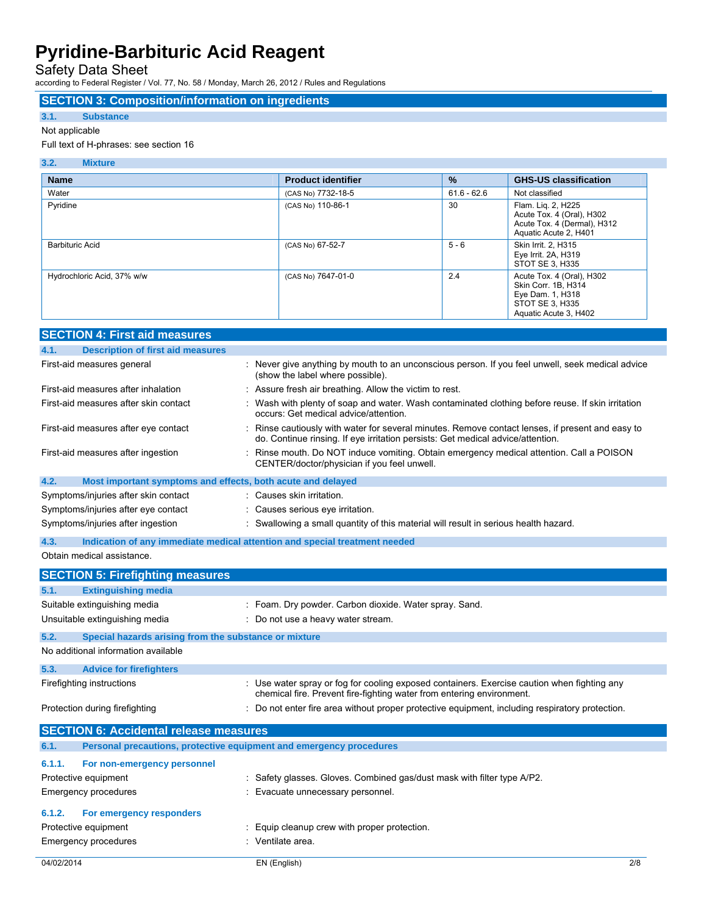Safety Data Sheet

according to Federal Register / Vol. 77, No. 58 / Monday, March 26, 2012 / Rules and Regulations

### **SECTION 3: Composition/information on ingredients**

### **3.1. Substance**

### Not applicable

### Full text of H-phrases: see section 16

| 3.2.<br><b>Mixture</b>     |                           |               |                                                                                                                  |
|----------------------------|---------------------------|---------------|------------------------------------------------------------------------------------------------------------------|
| <b>Name</b>                | <b>Product identifier</b> | $\%$          | <b>GHS-US classification</b>                                                                                     |
| Water                      | (CAS No) 7732-18-5        | $61.6 - 62.6$ | Not classified                                                                                                   |
| Pyridine                   | (CAS No) 110-86-1         | 30            | Flam. Lig. 2, H225<br>Acute Tox. 4 (Oral), H302<br>Acute Tox. 4 (Dermal), H312<br>Aquatic Acute 2, H401          |
| <b>Barbituric Acid</b>     | (CAS No) 67-52-7          | $5 - 6$       | Skin Irrit. 2. H315<br>Eye Irrit. 2A, H319<br>STOT SE 3, H335                                                    |
| Hydrochloric Acid, 37% w/w | (CAS No) 7647-01-0        | 2.4           | Acute Tox. 4 (Oral), H302<br>Skin Corr. 1B, H314<br>Eye Dam. 1, H318<br>STOT SE 3, H335<br>Aquatic Acute 3, H402 |

| <b>SECTION 4: First aid measures</b>                                               |                                                                                                                                                                                     |
|------------------------------------------------------------------------------------|-------------------------------------------------------------------------------------------------------------------------------------------------------------------------------------|
| <b>Description of first aid measures</b><br>4.1.                                   |                                                                                                                                                                                     |
| First-aid measures general                                                         | : Never give anything by mouth to an unconscious person. If you feel unwell, seek medical advice<br>(show the label where possible).                                                |
| First-aid measures after inhalation                                                | : Assure fresh air breathing. Allow the victim to rest.                                                                                                                             |
| First-aid measures after skin contact                                              | : Wash with plenty of soap and water. Wash contaminated clothing before reuse. If skin irritation<br>occurs: Get medical advice/attention.                                          |
| First-aid measures after eye contact                                               | : Rinse cautiously with water for several minutes. Remove contact lenses, if present and easy to<br>do. Continue rinsing. If eye irritation persists: Get medical advice/attention. |
| First-aid measures after ingestion                                                 | : Rinse mouth. Do NOT induce vomiting. Obtain emergency medical attention. Call a POISON<br>CENTER/doctor/physician if you feel unwell.                                             |
| 4.2.<br>Most important symptoms and effects, both acute and delayed                |                                                                                                                                                                                     |
| Symptoms/injuries after skin contact                                               | : Causes skin irritation.                                                                                                                                                           |
| Symptoms/injuries after eye contact                                                | : Causes serious eye irritation.                                                                                                                                                    |
| Symptoms/injuries after ingestion                                                  | : Swallowing a small quantity of this material will result in serious health hazard.                                                                                                |
| 4.3.<br>Indication of any immediate medical attention and special treatment needed |                                                                                                                                                                                     |

### Obtain medical assistance.

|            | <b>SECTION 5: Firefighting measures</b>               |                                                                                                                                                                      |
|------------|-------------------------------------------------------|----------------------------------------------------------------------------------------------------------------------------------------------------------------------|
| 5.1.       | <b>Extinguishing media</b>                            |                                                                                                                                                                      |
|            | Suitable extinguishing media                          | : Foam. Dry powder. Carbon dioxide. Water spray. Sand.                                                                                                               |
|            | Unsuitable extinguishing media                        | : Do not use a heavy water stream.                                                                                                                                   |
| 5.2.       | Special hazards arising from the substance or mixture |                                                                                                                                                                      |
|            | No additional information available                   |                                                                                                                                                                      |
| 5.3.       | <b>Advice for firefighters</b>                        |                                                                                                                                                                      |
|            | Firefighting instructions                             | : Use water spray or fog for cooling exposed containers. Exercise caution when fighting any<br>chemical fire. Prevent fire-fighting water from entering environment. |
|            | Protection during firefighting                        | : Do not enter fire area without proper protective equipment, including respiratory protection.                                                                      |
|            | <b>SECTION 6: Accidental release measures</b>         |                                                                                                                                                                      |
| 6.1.       |                                                       | Personal precautions, protective equipment and emergency procedures                                                                                                  |
| 6.1.1.     | For non-emergency personnel                           |                                                                                                                                                                      |
|            | Protective equipment                                  | : Safety glasses. Gloves. Combined gas/dust mask with filter type A/P2.                                                                                              |
|            | Emergency procedures                                  | : Evacuate unnecessary personnel.                                                                                                                                    |
| 6.1.2.     | For emergency responders                              |                                                                                                                                                                      |
|            | Protective equipment                                  | Equip cleanup crew with proper protection.                                                                                                                           |
|            | Emergency procedures                                  | : Ventilate area.                                                                                                                                                    |
| 04/02/2014 |                                                       | 2/8<br>EN (English)                                                                                                                                                  |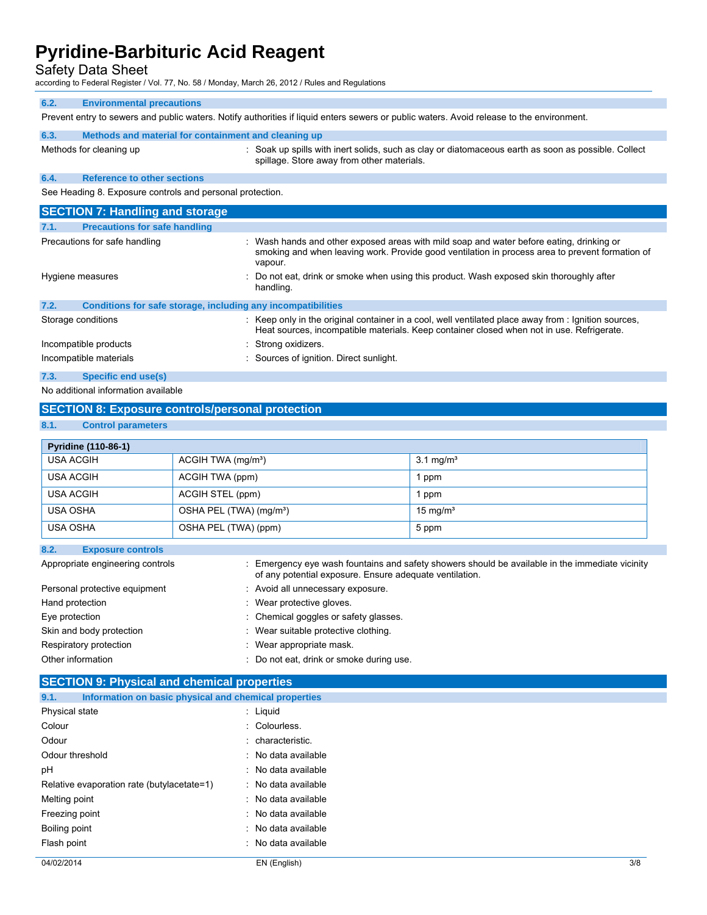| <b>Safety Data Sheet</b><br>according to Federal Register / Vol. 77, No. 58 / Monday, March 26, 2012 / Rules and Regulations              |                                                                                                                                                                                                        |  |  |  |
|-------------------------------------------------------------------------------------------------------------------------------------------|--------------------------------------------------------------------------------------------------------------------------------------------------------------------------------------------------------|--|--|--|
| 6.2.<br><b>Environmental precautions</b>                                                                                                  |                                                                                                                                                                                                        |  |  |  |
| Prevent entry to sewers and public waters. Notify authorities if liquid enters sewers or public waters. Avoid release to the environment. |                                                                                                                                                                                                        |  |  |  |
| 6.3.<br>Methods and material for containment and cleaning up                                                                              |                                                                                                                                                                                                        |  |  |  |
| Methods for cleaning up                                                                                                                   | : Soak up spills with inert solids, such as clay or diatomaceous earth as soon as possible. Collect<br>spillage. Store away from other materials.                                                      |  |  |  |
| <b>Reference to other sections</b><br>6.4.                                                                                                |                                                                                                                                                                                                        |  |  |  |
| See Heading 8. Exposure controls and personal protection.                                                                                 |                                                                                                                                                                                                        |  |  |  |
| <b>SECTION 7: Handling and storage</b>                                                                                                    |                                                                                                                                                                                                        |  |  |  |
| 7.1.<br><b>Precautions for safe handling</b>                                                                                              |                                                                                                                                                                                                        |  |  |  |
| Precautions for safe handling                                                                                                             | : Wash hands and other exposed areas with mild soap and water before eating, drinking or<br>smoking and when leaving work. Provide good ventilation in process area to prevent formation of<br>vapour. |  |  |  |
| Hygiene measures                                                                                                                          | Do not eat, drink or smoke when using this product. Wash exposed skin thoroughly after<br>handling.                                                                                                    |  |  |  |
| 7.2.<br>Conditions for safe storage, including any incompatibilities                                                                      |                                                                                                                                                                                                        |  |  |  |
| Storage conditions                                                                                                                        | : Keep only in the original container in a cool, well ventilated place away from : Ignition sources,<br>Heat sources, incompatible materials. Keep container closed when not in use. Refrigerate.      |  |  |  |
| Incompatible products                                                                                                                     | : Strong oxidizers.                                                                                                                                                                                    |  |  |  |
| Incompatible materials                                                                                                                    | Sources of ignition. Direct sunlight.                                                                                                                                                                  |  |  |  |
| 7.3.<br>Specific end use(s)                                                                                                               |                                                                                                                                                                                                        |  |  |  |
| No additional information available                                                                                                       |                                                                                                                                                                                                        |  |  |  |

## **SECTION 8: Exposure controls/personal protection**

### **8.1. Control parameters**

| <b>Pyridine (110-86-1)</b> |                                     |                      |
|----------------------------|-------------------------------------|----------------------|
| <b>USA ACGIH</b>           | ACGIH TWA (mg/m <sup>3</sup> )      | $3.1 \text{ mg/m}^3$ |
| USA ACGIH                  | ACGIH TWA (ppm)                     | l ppm                |
| <b>USA ACGIH</b>           | ACGIH STEL (ppm)                    | 1 ppm                |
| <b>USA OSHA</b>            | OSHA PEL (TWA) (mg/m <sup>3</sup> ) | $15 \text{ mg/m}^3$  |
| <b>USA OSHA</b>            | OSHA PEL (TWA) (ppm)                | 5 ppm                |

#### **8.2. Exposure controls**

| Appropriate engineering controls | : Emergency eye wash fountains and safety showers should be available in the immediate vicinity<br>of any potential exposure. Ensure adequate ventilation. |
|----------------------------------|------------------------------------------------------------------------------------------------------------------------------------------------------------|
| Personal protective equipment    | : Avoid all unnecessary exposure.                                                                                                                          |
| Hand protection                  | : Wear protective gloves.                                                                                                                                  |
| Eye protection                   | : Chemical goggles or safety glasses.                                                                                                                      |
| Skin and body protection         | : Wear suitable protective clothing.                                                                                                                       |
| Respiratory protection           | : Wear appropriate mask.                                                                                                                                   |
| Other information                | : Do not eat, drink or smoke during use.                                                                                                                   |

## **SECTION 9: Physical and chemical properties**

| Information on basic physical and chemical properties<br>9.1. |                                |
|---------------------------------------------------------------|--------------------------------|
| Physical state                                                | : Liquid                       |
| Colour                                                        | : Colourless.                  |
| Odour                                                         | : characteristic.              |
| Odour threshold                                               | : No data available            |
| рH                                                            | $\therefore$ No data available |
| Relative evaporation rate (butylacetate=1)                    | : No data available            |
| Melting point                                                 | : No data available            |
| Freezing point                                                | $\therefore$ No data available |
| Boiling point                                                 | : No data available            |
| Flash point                                                   | : No data available            |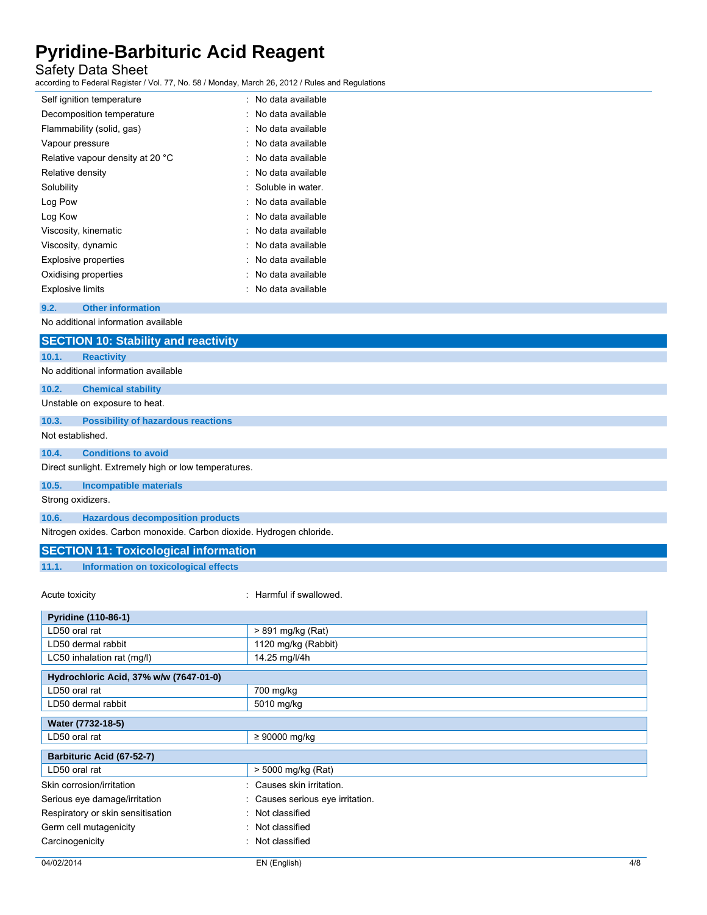## Safety Data Sheet

according to Federal Register / Vol. 77, No. 58 / Monday, March 26, 2012 / Rules and Regulations

| Self ignition temperature        | : No data available |
|----------------------------------|---------------------|
| Decomposition temperature        | No data available   |
| Flammability (solid, gas)        | No data available   |
| Vapour pressure                  | No data available   |
| Relative vapour density at 20 °C | No data available   |
| Relative density                 | No data available   |
| Solubility                       | : Soluble in water. |
| Log Pow                          | No data available   |
| Log Kow                          | No data available   |
| Viscosity, kinematic             | No data available   |
| Viscosity, dynamic               | No data available   |
| <b>Explosive properties</b>      | No data available   |
| Oxidising properties             | No data available   |
| <b>Explosive limits</b>          | No data available   |
|                                  |                     |

**9.2. Other information** 

No additional information available

## **SECTION 10: Stability and reactivity 10.1. Reactivity**  No additional information available **10.2. Chemical stability**  Unstable on exposure to heat. **10.3. Possibility of hazardous reactions**  Not established. **10.4. Conditions to avoid**  Direct sunlight. Extremely high or low temperatures. **10.5. Incompatible materials**  Strong oxidizers.

**10.6. Hazardous decomposition products** 

Nitrogen oxides. Carbon monoxide. Carbon dioxide. Hydrogen chloride.

## **SECTION 11: Toxicological information**

**11.1. Information on toxicological effects** 

Acute toxicity **in the set of the set of the set of the set of the set of the set of the set of the set of the set of the set of the set of the set of the set of the set of the set of the set of the set of the set of the s** 

| Pyridine (110-86-1)                    |                                |
|----------------------------------------|--------------------------------|
| LD50 oral rat                          | > 891 mg/kg (Rat)              |
| LD50 dermal rabbit                     | 1120 mg/kg (Rabbit)            |
| LC50 inhalation rat (mg/l)             | 14.25 mg/l/4h                  |
| Hydrochloric Acid, 37% w/w (7647-01-0) |                                |
| LD50 oral rat                          | 700 mg/kg                      |
| LD50 dermal rabbit                     | 5010 mg/kg                     |
| Water (7732-18-5)                      |                                |
| LD50 oral rat                          | $\geq 90000$ mg/kg             |
| Barbituric Acid (67-52-7)              |                                |
| LD50 oral rat                          | > 5000 mg/kg (Rat)             |
| Skin corrosion/irritation              | : Causes skin irritation.      |
| Serious eye damage/irritation          | Causes serious eye irritation. |
| Respiratory or skin sensitisation      | Not classified                 |
| Germ cell mutagenicity                 | : Not classified               |
| Carcinogenicity                        | : Not classified               |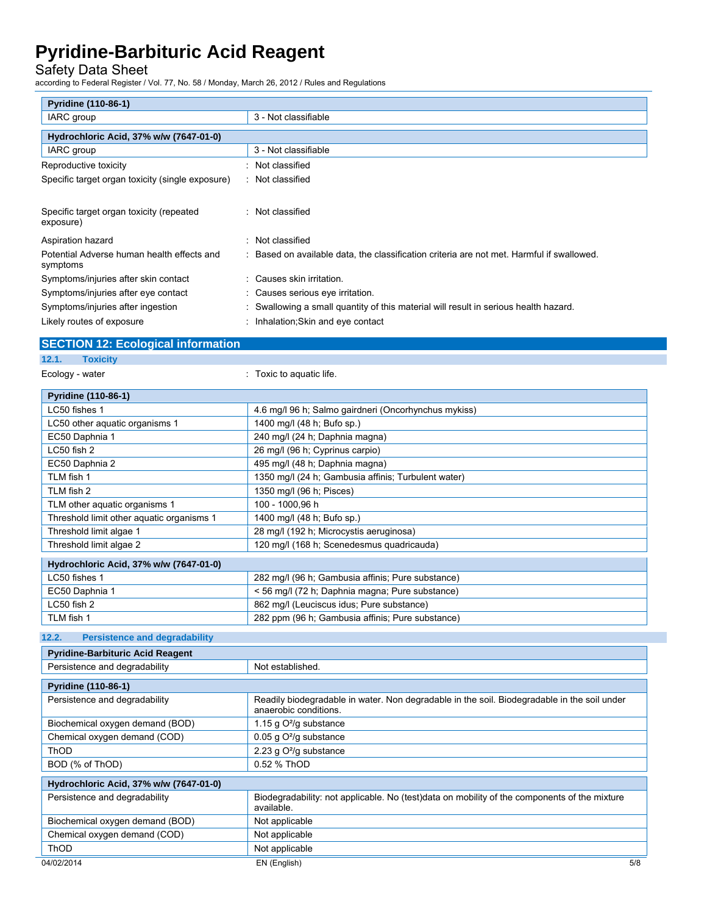## Safety Data Sheet

according to Federal Register / Vol. 77, No. 58 / Monday, March 26, 2012 / Rules and Regulations

| <b>Pyridine (110-86-1)</b>                             |                                                                                         |
|--------------------------------------------------------|-----------------------------------------------------------------------------------------|
| IARC group                                             | 3 - Not classifiable                                                                    |
| Hydrochloric Acid, 37% w/w (7647-01-0)                 |                                                                                         |
| IARC group                                             | 3 - Not classifiable                                                                    |
| Reproductive toxicity                                  | Not classified                                                                          |
| Specific target organ toxicity (single exposure)       | : Not classified                                                                        |
|                                                        |                                                                                         |
| Specific target organ toxicity (repeated<br>exposure)  | : Not classified                                                                        |
| Aspiration hazard                                      | Not classified                                                                          |
| Potential Adverse human health effects and<br>symptoms | Based on available data, the classification criteria are not met. Harmful if swallowed. |
| Symptoms/injuries after skin contact                   | : Causes skin irritation.                                                               |
| Symptoms/injuries after eye contact                    | : Causes serious eye irritation.                                                        |
| Symptoms/injuries after ingestion                      | Swallowing a small quantity of this material will result in serious health hazard.      |
| Likely routes of exposure                              | Inhalation; Skin and eye contact                                                        |

## **SECTION 12: Ecological information**

**12.1. Toxicity** 

Ecology - water  $\qquad \qquad$ : Toxic to aquatic life.

TLM fish 1 282 ppm (96 h; Gambusia affinis; Pure substance)

| <b>Pyridine (110-86-1)</b>                |                                                      |
|-------------------------------------------|------------------------------------------------------|
| LC50 fishes 1                             | 4.6 mg/l 96 h; Salmo gairdneri (Oncorhynchus mykiss) |
| LC50 other aquatic organisms 1            | 1400 mg/l (48 h; Bufo sp.)                           |
| EC50 Daphnia 1                            | 240 mg/l (24 h; Daphnia magna)                       |
| LC50 fish 2                               | 26 mg/l (96 h; Cyprinus carpio)                      |
| EC50 Daphnia 2                            | 495 mg/l (48 h; Daphnia magna)                       |
| TLM fish 1                                | 1350 mg/l (24 h; Gambusia affinis; Turbulent water)  |
| TLM fish 2                                | 1350 mg/l (96 h; Pisces)                             |
| TLM other aquatic organisms 1             | 100 - 1000,96 h                                      |
| Threshold limit other aquatic organisms 1 | 1400 mg/l (48 h; Bufo sp.)                           |
| Threshold limit algae 1                   | 28 mg/l (192 h; Microcystis aeruginosa)              |
| Threshold limit algae 2                   | 120 mg/l (168 h; Scenedesmus quadricauda)            |
| Hydrochloric Acid, 37% w/w (7647-01-0)    |                                                      |
| LC50 fishes 1                             | 282 mg/l (96 h; Gambusia affinis; Pure substance)    |
| EC50 Daphnia 1                            | < 56 mg/l (72 h; Daphnia magna; Pure substance)      |
| LC50 fish 2                               | 862 mg/l (Leuciscus idus; Pure substance)            |

### **12.2. Persistence and degradability**

| <b>Pyridine-Barbituric Acid Reagent</b> |                                                                                                                      |  |  |
|-----------------------------------------|----------------------------------------------------------------------------------------------------------------------|--|--|
| Persistence and degradability           | Not established.                                                                                                     |  |  |
|                                         |                                                                                                                      |  |  |
| <b>Pyridine (110-86-1)</b>              |                                                                                                                      |  |  |
| Persistence and degradability           | Readily biodegradable in water. Non degradable in the soil. Biodegradable in the soil under<br>anaerobic conditions. |  |  |
| Biochemical oxygen demand (BOD)         | 1.15 g $O^2$ /g substance                                                                                            |  |  |
| Chemical oxygen demand (COD)            | 0.05 g O <sup>2</sup> /g substance                                                                                   |  |  |
| ThOD                                    | 2.23 g O <sup>2</sup> /g substance                                                                                   |  |  |
| BOD (% of ThOD)                         | 0.52 % ThOD                                                                                                          |  |  |
|                                         |                                                                                                                      |  |  |
| Hydrochloric Acid, 37% w/w (7647-01-0)  |                                                                                                                      |  |  |
| Persistence and degradability           | Biodegradability: not applicable. No (test)data on mobility of the components of the mixture<br>available.           |  |  |
| Biochemical oxygen demand (BOD)         | Not applicable                                                                                                       |  |  |
| Chemical oxygen demand (COD)            | Not applicable                                                                                                       |  |  |
| ThOD                                    | Not applicable                                                                                                       |  |  |
| 04/02/2014                              | 5/8<br>EN (English)                                                                                                  |  |  |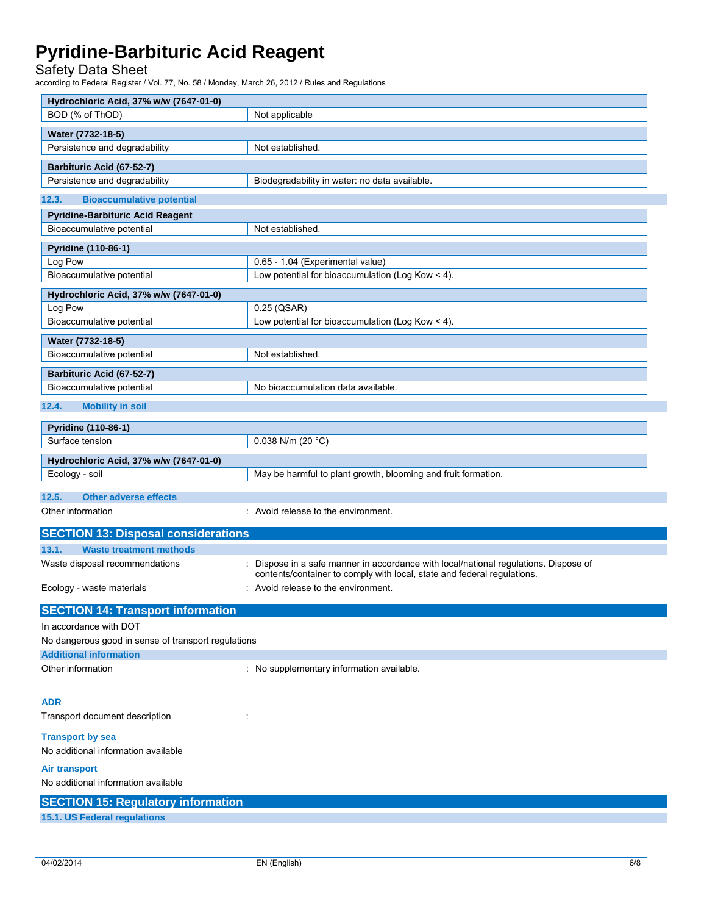Safety Data Sheet

according to Federal Register / Vol. 77, No. 58 / Monday, March 26, 2012 / Rules and Regulations

| Hydrochloric Acid, 37% w/w (7647-01-0)                                    |                                                                                                                                                                 |
|---------------------------------------------------------------------------|-----------------------------------------------------------------------------------------------------------------------------------------------------------------|
| BOD (% of ThOD)                                                           | Not applicable                                                                                                                                                  |
| Water (7732-18-5)                                                         |                                                                                                                                                                 |
| Persistence and degradability                                             | Not established.                                                                                                                                                |
| Barbituric Acid (67-52-7)                                                 |                                                                                                                                                                 |
| Persistence and degradability                                             | Biodegradability in water: no data available.                                                                                                                   |
| 12.3.<br><b>Bioaccumulative potential</b>                                 |                                                                                                                                                                 |
| <b>Pyridine-Barbituric Acid Reagent</b>                                   |                                                                                                                                                                 |
| Bioaccumulative potential                                                 | Not established.                                                                                                                                                |
| Pyridine (110-86-1)                                                       |                                                                                                                                                                 |
| Log Pow                                                                   | 0.65 - 1.04 (Experimental value)                                                                                                                                |
| Bioaccumulative potential                                                 | Low potential for bioaccumulation (Log Kow < 4).                                                                                                                |
| Hydrochloric Acid, 37% w/w (7647-01-0)                                    |                                                                                                                                                                 |
| Log Pow                                                                   | $0.25$ (QSAR)                                                                                                                                                   |
| Bioaccumulative potential                                                 | Low potential for bioaccumulation (Log Kow < 4).                                                                                                                |
| Water (7732-18-5)                                                         |                                                                                                                                                                 |
| Bioaccumulative potential                                                 | Not established.                                                                                                                                                |
| Barbituric Acid (67-52-7)                                                 |                                                                                                                                                                 |
| Bioaccumulative potential                                                 | No bioaccumulation data available.                                                                                                                              |
| 12.4.<br><b>Mobility in soil</b>                                          |                                                                                                                                                                 |
| Pyridine (110-86-1)                                                       |                                                                                                                                                                 |
| Surface tension                                                           | 0.038 N/m (20 $°C$ )                                                                                                                                            |
| Hydrochloric Acid, 37% w/w (7647-01-0)                                    |                                                                                                                                                                 |
| Ecology - soil                                                            | May be harmful to plant growth, blooming and fruit formation.                                                                                                   |
| 12.5.<br><b>Other adverse effects</b>                                     |                                                                                                                                                                 |
| Other information                                                         | : Avoid release to the environment.                                                                                                                             |
| <b>SECTION 13: Disposal considerations</b>                                |                                                                                                                                                                 |
| 13.1.<br><b>Waste treatment methods</b>                                   |                                                                                                                                                                 |
|                                                                           |                                                                                                                                                                 |
| Waste disposal recommendations                                            | : Dispose in a safe manner in accordance with local/national regulations. Dispose of<br>contents/container to comply with local, state and federal regulations. |
| Ecology - waste materials                                                 | : Avoid release to the environment.                                                                                                                             |
|                                                                           |                                                                                                                                                                 |
| <b>SECTION 14: Transport information</b><br>In accordance with DOT        |                                                                                                                                                                 |
| No dangerous good in sense of transport regulations                       |                                                                                                                                                                 |
| <b>Additional information</b>                                             |                                                                                                                                                                 |
| Other information                                                         | : No supplementary information available.                                                                                                                       |
|                                                                           |                                                                                                                                                                 |
| <b>ADR</b>                                                                |                                                                                                                                                                 |
| Transport document description                                            |                                                                                                                                                                 |
| <b>Transport by sea</b><br>No additional information available            |                                                                                                                                                                 |
|                                                                           |                                                                                                                                                                 |
| <b>Air transport</b><br>No additional information available               |                                                                                                                                                                 |
|                                                                           |                                                                                                                                                                 |
| <b>SECTION 15: Regulatory information</b><br>15.1. US Federal regulations |                                                                                                                                                                 |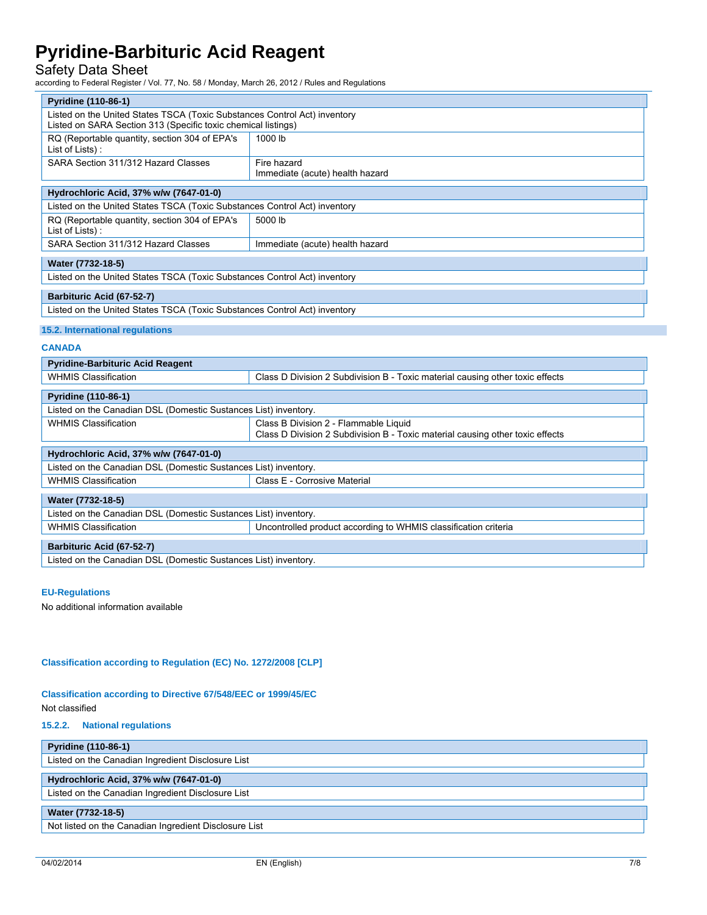## Safety Data Sheet

according to Federal Register / Vol. 77, No. 58 / Monday, March 26, 2012 / Rules and Regulations

| Pyridine (110-86-1)                                                                                                                                   |                                                                 |  |  |
|-------------------------------------------------------------------------------------------------------------------------------------------------------|-----------------------------------------------------------------|--|--|
| Listed on the United States TSCA (Toxic Substances Control Act) inventory<br>Listed on SARA Section 313 (Specific toxic chemical listings)            |                                                                 |  |  |
| RQ (Reportable quantity, section 304 of EPA's<br>1000 lb<br>List of Lists):                                                                           |                                                                 |  |  |
| SARA Section 311/312 Hazard Classes<br>Fire hazard<br>Immediate (acute) health hazard                                                                 |                                                                 |  |  |
| Hydrochloric Acid, 37% w/w (7647-01-0)                                                                                                                |                                                                 |  |  |
| Listed on the United States TSCA (Toxic Substances Control Act) inventory                                                                             |                                                                 |  |  |
| RQ (Reportable quantity, section 304 of EPA's<br>5000 lb<br>List of Lists):                                                                           |                                                                 |  |  |
| SARA Section 311/312 Hazard Classes                                                                                                                   | Immediate (acute) health hazard                                 |  |  |
| Water (7732-18-5)                                                                                                                                     |                                                                 |  |  |
| Listed on the United States TSCA (Toxic Substances Control Act) inventory                                                                             |                                                                 |  |  |
| Barbituric Acid (67-52-7)                                                                                                                             |                                                                 |  |  |
| Listed on the United States TSCA (Toxic Substances Control Act) inventory                                                                             |                                                                 |  |  |
| 15.2. International regulations                                                                                                                       |                                                                 |  |  |
| <b>CANADA</b>                                                                                                                                         |                                                                 |  |  |
| <b>Pyridine-Barbituric Acid Reagent</b>                                                                                                               |                                                                 |  |  |
| <b>WHMIS Classification</b><br>Class D Division 2 Subdivision B - Toxic material causing other toxic effects                                          |                                                                 |  |  |
| Pyridine (110-86-1)                                                                                                                                   |                                                                 |  |  |
| Listed on the Canadian DSL (Domestic Sustances List) inventory.                                                                                       |                                                                 |  |  |
| <b>WHMIS Classification</b><br>Class B Division 2 - Flammable Liquid<br>Class D Division 2 Subdivision B - Toxic material causing other toxic effects |                                                                 |  |  |
| Hydrochloric Acid, 37% w/w (7647-01-0)                                                                                                                |                                                                 |  |  |
| Listed on the Canadian DSL (Domestic Sustances List) inventory.                                                                                       |                                                                 |  |  |
| <b>WHMIS Classification</b><br>Class E - Corrosive Material                                                                                           |                                                                 |  |  |
| Water (7732-18-5)                                                                                                                                     |                                                                 |  |  |
| Listed on the Canadian DSL (Domestic Sustances List) inventory.                                                                                       |                                                                 |  |  |
| <b>WHMIS Classification</b>                                                                                                                           | Uncontrolled product according to WHMIS classification criteria |  |  |
| Barbituric Acid (67-52-7)                                                                                                                             |                                                                 |  |  |
| Listed on the Canadian DSL (Domestic Sustances List) inventory.                                                                                       |                                                                 |  |  |

### **EU-Regulations**

No additional information available

#### **Classification according to Regulation (EC) No. 1272/2008 [CLP]**

### **Classification according to Directive 67/548/EEC or 1999/45/EC**  Not classified

**15.2.2. National regulations** 

| <b>Pyridine (110-86-1)</b>                            |
|-------------------------------------------------------|
| Listed on the Canadian Ingredient Disclosure List     |
|                                                       |
| Hydrochloric Acid, 37% w/w (7647-01-0)                |
| Listed on the Canadian Ingredient Disclosure List     |
|                                                       |
| Water (7732-18-5)                                     |
| Not listed on the Canadian Ingredient Disclosure List |